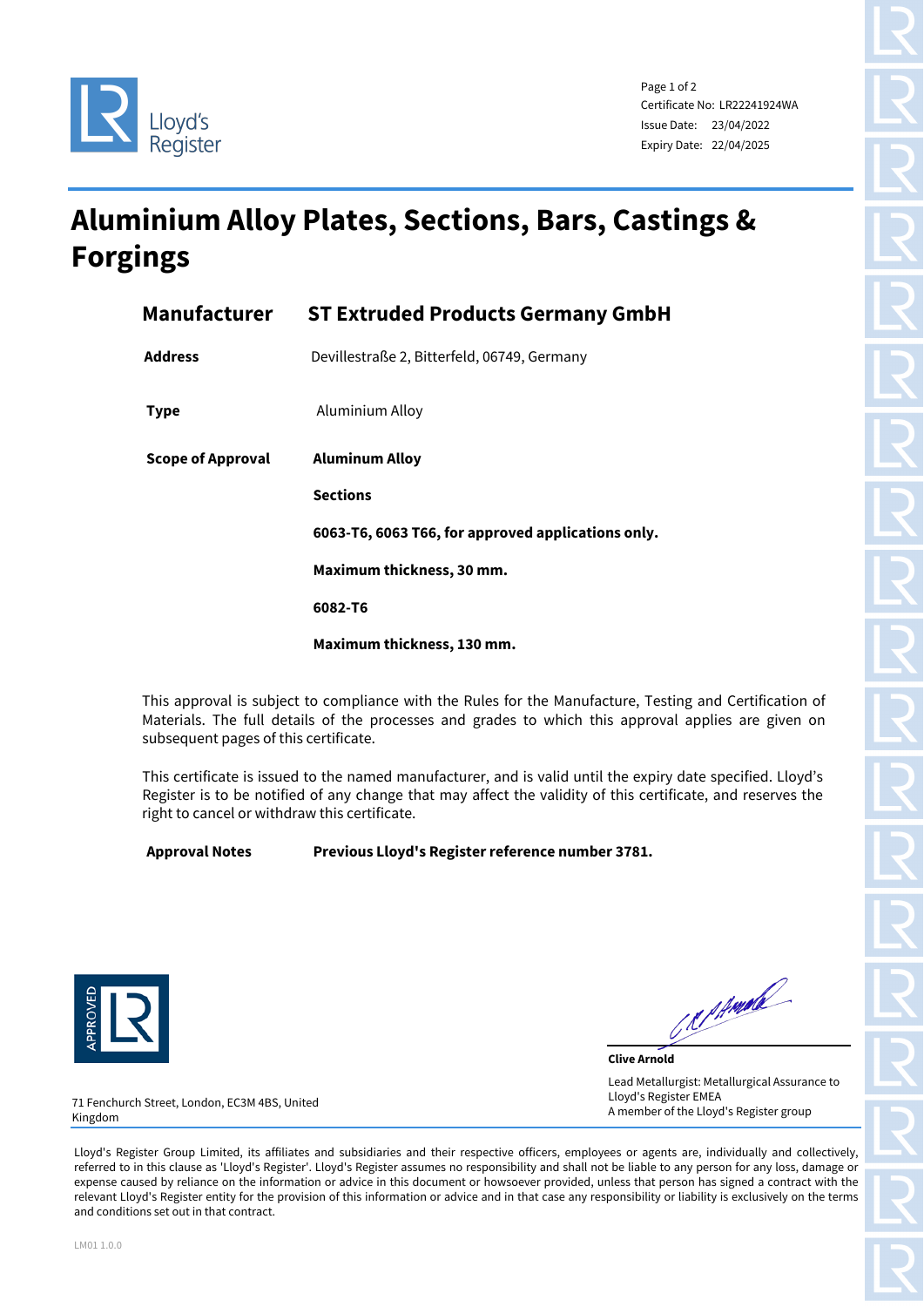



Page 1 of 2 Certificate No: LR22241924WA Issue Date: 23/04/2022 Expiry Date: 22/04/2025

## **Aluminium Alloy Plates, Sections, Bars, Castings & Forgings**

|                   | <b>Manufacturer ST Extruded Products Germany GmbH</b> |  |  |
|-------------------|-------------------------------------------------------|--|--|
| <b>Address</b>    | Devillestraße 2, Bitterfeld, 06749, Germany           |  |  |
| <b>Type</b>       | Aluminium Alloy                                       |  |  |
| Scope of Approval | <b>Aluminum Alloy</b>                                 |  |  |
|                   | <b>Sections</b>                                       |  |  |
|                   | 6063-T6, 6063 T66, for approved applications only.    |  |  |
|                   | Maximum thickness, 30 mm.                             |  |  |
|                   | 6082-T6                                               |  |  |
|                   | Maximum thickness, 130 mm.                            |  |  |

This approval is subject to compliance with the Rules for the Manufacture, Testing and Certification of Materials. The full details of the processes and grades to which this approval applies are given on subsequent pages of this certificate.

This certificate is issued to the named manufacturer, and is valid until the expiry date specified. Lloyd's Register is to be notified of any change that may affect the validity of this certificate, and reserves the right to cancel or withdraw this certificate.

**Approval Notes Previous Lloyd's Register reference number 3781.**



Reprinted

**Clive Arnold** Lead Metallurgist: Metallurgical Assurance to Lloyd's Register EMEA A member of the Lloyd's Register group

71 Fenchurch Street, London, EC3M 4BS, United Kingdom

Lloyd's Register Group Limited, its affiliates and subsidiaries and their respective officers, employees or agents are, individually and collectively, referred to in this clause as 'Lloyd's Register'. Lloyd's Register assumes no responsibility and shall not be liable to any person for any loss, damage or expense caused by reliance on the information or advice in this document or howsoever provided, unless that person has signed a contract with the relevant Lloyd's Register entity for the provision of this information or advice and in that case any responsibility or liability is exclusively on the terms and conditions set out in that contract.